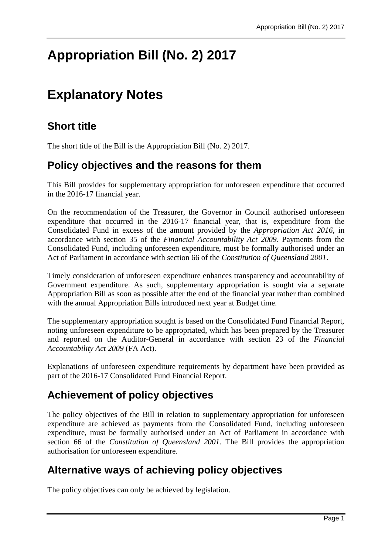# **Appropriation Bill (No. 2) 2017**

## **Explanatory Notes**

## **Short title**

The short title of the Bill is the Appropriation Bill (No. 2) 2017.

#### **Policy objectives and the reasons for them**

This Bill provides for supplementary appropriation for unforeseen expenditure that occurred in the 2016-17 financial year.

On the recommendation of the Treasurer, the Governor in Council authorised unforeseen expenditure that occurred in the 2016-17 financial year, that is, expenditure from the Consolidated Fund in excess of the amount provided by the *Appropriation Act 2016*, in accordance with section 35 of the *Financial Accountability Act 2009*. Payments from the Consolidated Fund, including unforeseen expenditure, must be formally authorised under an Act of Parliament in accordance with section 66 of the *Constitution of Queensland 2001*.

Timely consideration of unforeseen expenditure enhances transparency and accountability of Government expenditure. As such, supplementary appropriation is sought via a separate Appropriation Bill as soon as possible after the end of the financial year rather than combined with the annual Appropriation Bills introduced next year at Budget time.

The supplementary appropriation sought is based on the Consolidated Fund Financial Report, noting unforeseen expenditure to be appropriated, which has been prepared by the Treasurer and reported on the Auditor-General in accordance with section 23 of the *Financial Accountability Act 2009* (FA Act).

Explanations of unforeseen expenditure requirements by department have been provided as part of the 2016-17 Consolidated Fund Financial Report.

## **Achievement of policy objectives**

The policy objectives of the Bill in relation to supplementary appropriation for unforeseen expenditure are achieved as payments from the Consolidated Fund, including unforeseen expenditure, must be formally authorised under an Act of Parliament in accordance with section 66 of the *Constitution of Queensland 2001*. The Bill provides the appropriation authorisation for unforeseen expenditure.

## **Alternative ways of achieving policy objectives**

The policy objectives can only be achieved by legislation.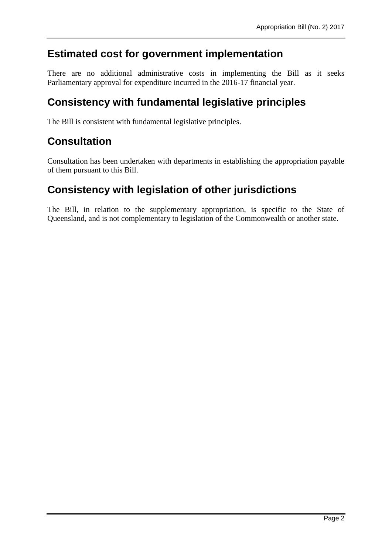#### **Estimated cost for government implementation**

There are no additional administrative costs in implementing the Bill as it seeks Parliamentary approval for expenditure incurred in the 2016-17 financial year.

#### **Consistency with fundamental legislative principles**

The Bill is consistent with fundamental legislative principles.

#### **Consultation**

Consultation has been undertaken with departments in establishing the appropriation payable of them pursuant to this Bill.

## **Consistency with legislation of other jurisdictions**

The Bill, in relation to the supplementary appropriation, is specific to the State of Queensland, and is not complementary to legislation of the Commonwealth or another state.